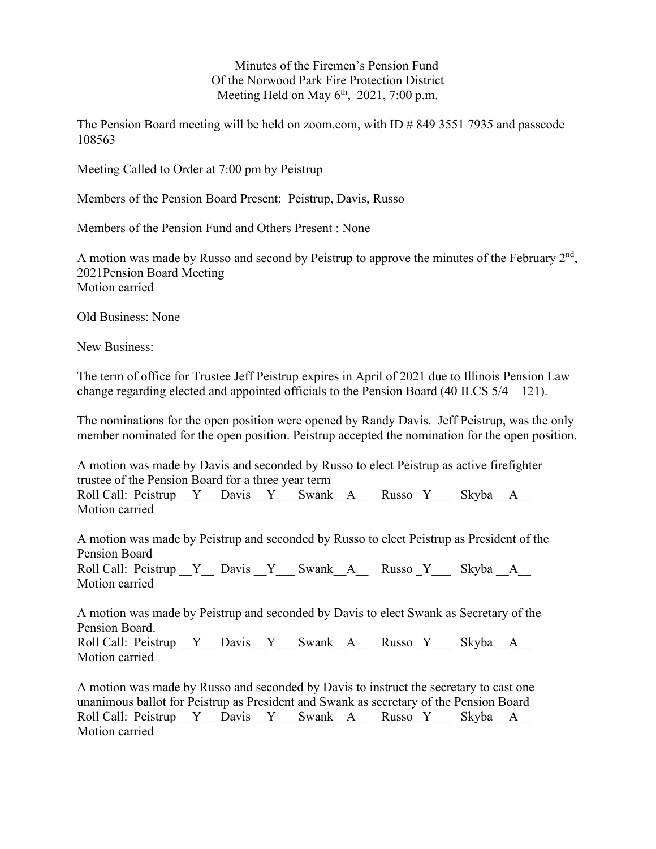Minutes of the Firemen's Pension Fund Of the Norwood Park Fire Protection District Meeting Held on May  $6<sup>th</sup>$ , 2021, 7:00 p.m.

The Pension Board meeting will be held on zoom.com, with ID # 849 3551 7935 and passcode 108563

Meeting Called to Order at 7:00 pm by Peistrup

Members of the Pension Board Present: Peistrup, Davis, Russo

Members of the Pension Fund and Others Present : None

A motion was made by Russo and second by Peistrup to approve the minutes of the February  $2<sup>nd</sup>$ , 2021Pension Board Meeting Motion carried

Old Business: None

New Business:

The term of office for Trustee Jeff Peistrup expires in April of 2021 due to Illinois Pension Law change regarding elected and appointed officials to the Pension Board (40 ILCS 5/4 – 121).

The nominations for the open position were opened by Randy Davis. Jeff Peistrup, was the only member nominated for the open position. Peistrup accepted the nomination for the open position.

A motion was made by Davis and seconded by Russo to elect Peistrup as active firefighter trustee of the Pension Board for a three year term

Roll Call: Peistrup \_ Y \_ Davis \_ Y \_ Swank\_A\_\_ Russo \_Y \_ Skyba \_ A Motion carried

A motion was made by Peistrup and seconded by Russo to elect Peistrup as President of the Pension Board Roll Call: Peistrup \_ Y \_ Davis \_ Y \_ Swank\_A\_\_\_ Russo \_Y \_ Skyba \_ A Motion carried

A motion was made by Peistrup and seconded by Davis to elect Swank as Secretary of the Pension Board. Roll Call: Peistrup  $Y$  Davis Y Swank A Russo Y Skyba A

Motion carried

A motion was made by Russo and seconded by Davis to instruct the secretary to cast one unanimous ballot for Peistrup as President and Swank as secretary of the Pension Board Roll Call: Peistrup \_ Y \_ Davis \_ Y \_ Swank\_A\_\_\_ Russo \_Y \_ Skyba \_ A Motion carried